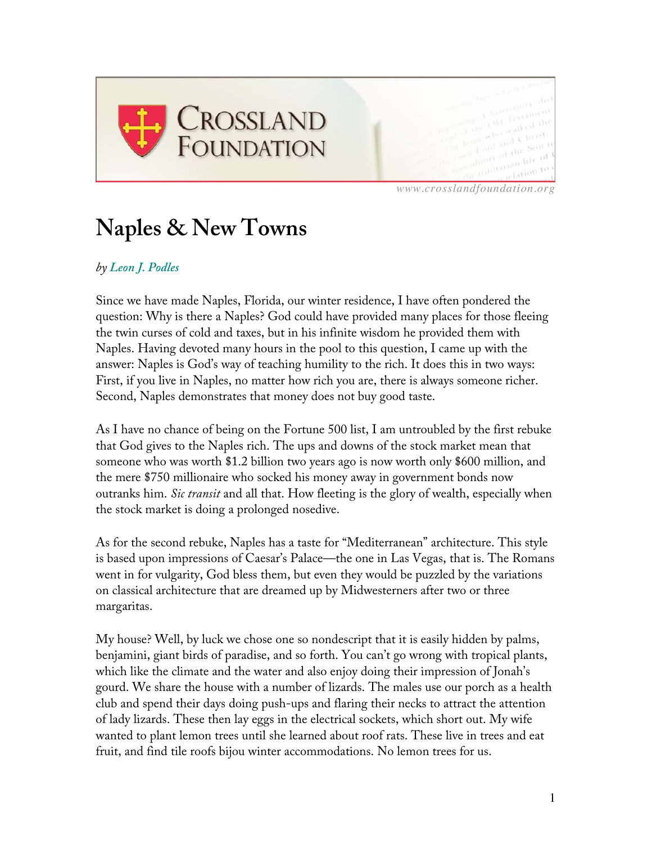

*www.crosslandfoundation.org*

## **Naples & New Towns**

## *by Leon J. Podles*

Since we have made Naples, Florida, our winter residence, I have often pondered the question: Why is there a Naples? God could have provided many places for those fleeing the twin curses of cold and taxes, but in his infinite wisdom he provided them with Naples. Having devoted many hours in the pool to this question, I came up with the answer: Naples is God's way of teaching humility to the rich. It does this in two ways: First, if you live in Naples, no matter how rich you are, there is always someone richer. Second, Naples demonstrates that money does not buy good taste.

As I have no chance of being on the Fortune 500 list, I am untroubled by the first rebuke that God gives to the Naples rich. The ups and downs of the stock market mean that someone who was worth \$1.2 billion two years ago is now worth only \$600 million, and the mere \$750 millionaire who socked his money away in government bonds now outranks him. *Sic transit* and all that. How fleeting is the glory of wealth, especially when the stock market is doing a prolonged nosedive.

As for the second rebuke, Naples has a taste for "Mediterranean" architecture. This style is based upon impressions of Caesar's Palace—the one in Las Vegas, that is. The Romans went in for vulgarity, God bless them, but even they would be puzzled by the variations on classical architecture that are dreamed up by Midwesterners after two or three margaritas.

My house? Well, by luck we chose one so nondescript that it is easily hidden by palms, benjamini, giant birds of paradise, and so forth. You can't go wrong with tropical plants, which like the climate and the water and also enjoy doing their impression of Jonah's gourd. We share the house with a number of lizards. The males use our porch as a health club and spend their days doing push-ups and flaring their necks to attract the attention of lady lizards. These then lay eggs in the electrical sockets, which short out. My wife wanted to plant lemon trees until she learned about roof rats. These live in trees and eat fruit, and find tile roofs bijou winter accommodations. No lemon trees for us.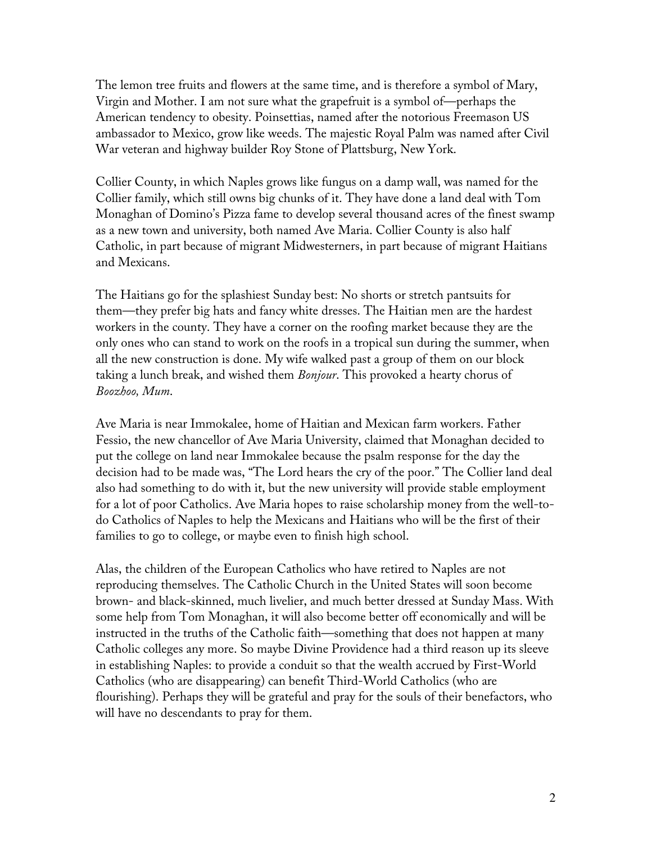The lemon tree fruits and flowers at the same time, and is therefore a symbol of Mary, Virgin and Mother. I am not sure what the grapefruit is a symbol of—perhaps the American tendency to obesity. Poinsettias, named after the notorious Freemason US ambassador to Mexico, grow like weeds. The majestic Royal Palm was named after Civil War veteran and highway builder Roy Stone of Plattsburg, New York.

Collier County, in which Naples grows like fungus on a damp wall, was named for the Collier family, which still owns big chunks of it. They have done a land deal with Tom Monaghan of Domino's Pizza fame to develop several thousand acres of the finest swamp as a new town and university, both named Ave Maria. Collier County is also half Catholic, in part because of migrant Midwesterners, in part because of migrant Haitians and Mexicans.

The Haitians go for the splashiest Sunday best: No shorts or stretch pantsuits for them—they prefer big hats and fancy white dresses. The Haitian men are the hardest workers in the county. They have a corner on the roofing market because they are the only ones who can stand to work on the roofs in a tropical sun during the summer, when all the new construction is done. My wife walked past a group of them on our block taking a lunch break, and wished them *Bonjour*. This provoked a hearty chorus of *Boozhoo, Mum*.

Ave Maria is near Immokalee, home of Haitian and Mexican farm workers. Father Fessio, the new chancellor of Ave Maria University, claimed that Monaghan decided to put the college on land near Immokalee because the psalm response for the day the decision had to be made was, "The Lord hears the cry of the poor." The Collier land deal also had something to do with it, but the new university will provide stable employment for a lot of poor Catholics. Ave Maria hopes to raise scholarship money from the well-todo Catholics of Naples to help the Mexicans and Haitians who will be the first of their families to go to college, or maybe even to finish high school.

Alas, the children of the European Catholics who have retired to Naples are not reproducing themselves. The Catholic Church in the United States will soon become brown- and black-skinned, much livelier, and much better dressed at Sunday Mass. With some help from Tom Monaghan, it will also become better off economically and will be instructed in the truths of the Catholic faith—something that does not happen at many Catholic colleges any more. So maybe Divine Providence had a third reason up its sleeve in establishing Naples: to provide a conduit so that the wealth accrued by First-World Catholics (who are disappearing) can benefit Third-World Catholics (who are flourishing). Perhaps they will be grateful and pray for the souls of their benefactors, who will have no descendants to pray for them.